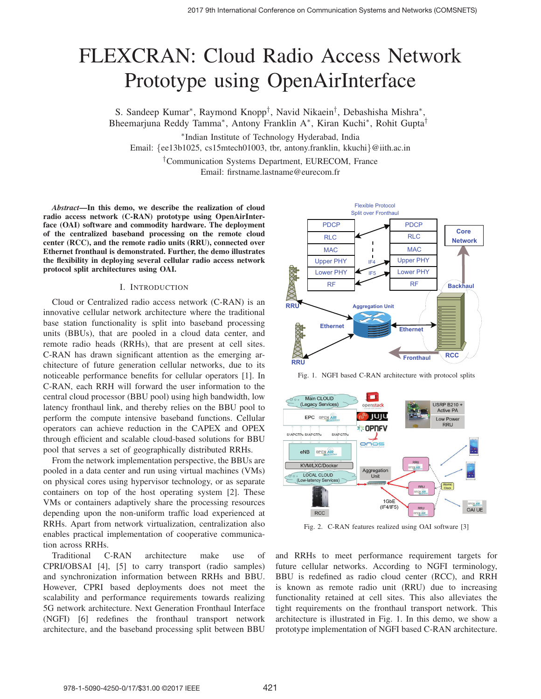# FLEXCRAN: Cloud Radio Access Network Prototype using OpenAirInterface

S. Sandeep Kumar∗, Raymond Knopp†, Navid Nikaein†, Debashisha Mishra∗, Bheemarjuna Reddy Tamma∗, Antony Franklin A∗, Kiran Kuchi∗, Rohit Gupta†

<sup>∗</sup>Indian Institute of Technology Hyderabad, India Email: {ee13b1025, cs15mtech01003, tbr, antony.franklin, kkuchi}@iith.ac.in †Communication Systems Department, EURECOM, France

Email: firstname.lastname@eurecom.fr

*Abstract*—In this demo, we describe the realization of cloud radio access network (C-RAN) prototype using OpenAirInterface (OAI) software and commodity hardware. The deployment of the centralized baseband processing on the remote cloud center (RCC), and the remote radio units (RRU), connected over Ethernet fronthaul is demonstrated. Further, the demo illustrates the flexibility in deploying several cellular radio access network protocol split architectures using OAI.

## I. INTRODUCTION

Cloud or Centralized radio access network (C-RAN) is an innovative cellular network architecture where the traditional base station functionality is split into baseband processing units (BBUs), that are pooled in a cloud data center, and remote radio heads (RRHs), that are present at cell sites. C-RAN has drawn significant attention as the emerging architecture of future generation cellular networks, due to its noticeable performance benefits for cellular operators [1]. In C-RAN, each RRH will forward the user information to the central cloud processor (BBU pool) using high bandwidth, low latency fronthaul link, and thereby relies on the BBU pool to perform the compute intensive baseband functions. Cellular operators can achieve reduction in the CAPEX and OPEX through efficient and scalable cloud-based solutions for BBU pool that serves a set of geographically distributed RRHs.

From the network implementation perspective, the BBUs are pooled in a data center and run using virtual machines (VMs) on physical cores using hypervisor technology, or as separate containers on top of the host operating system [2]. These VMs or containers adaptively share the processing resources depending upon the non-uniform traffic load experienced at RRHs. Apart from network virtualization, centralization also enables practical implementation of cooperative communication across RRHs.

Traditional C-RAN architecture make use of CPRI/OBSAI [4], [5] to carry transport (radio samples) and synchronization information between RRHs and BBU. However, CPRI based deployments does not meet the scalability and performance requirements towards realizing 5G network architecture. Next Generation Fronthaul Interface (NGFI) [6] redefines the fronthaul transport network architecture, and the baseband processing split between BBU



Fig. 1. NGFI based C-RAN architecture with protocol splits



Fig. 2. C-RAN features realized using OAI software [3]

and RRHs to meet performance requirement targets for future cellular networks. According to NGFI terminology, BBU is redefined as radio cloud center (RCC), and RRH is known as remote radio unit (RRU) due to increasing functionality retained at cell sites. This also alleviates the tight requirements on the fronthaul transport network. This architecture is illustrated in Fig. 1. In this demo, we show a prototype implementation of NGFI based C-RAN architecture.